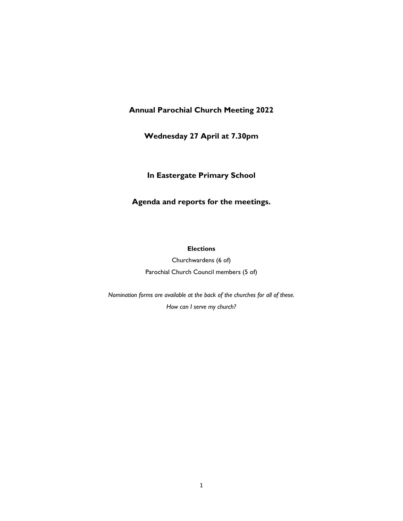# **Annual Parochial Church Meeting 2022**

# **Wednesday 27 April at 7.30pm**

# **In Eastergate Primary School**

# **Agenda and reports for the meetings.**

#### **Elections**

Churchwardens (6 of) Parochial Church Council members (5 of)

*Nomination forms are available at the back of the churches for all of these. How can I serve my church?*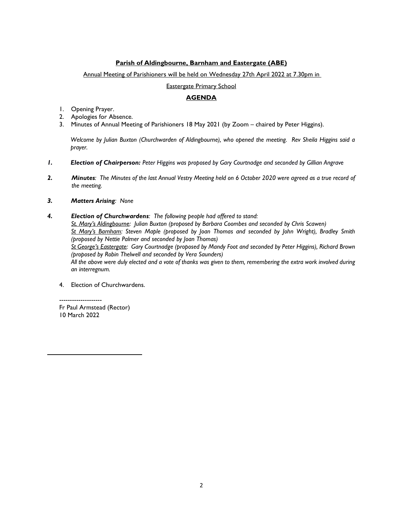# **Parish of Aldingbourne, Barnham and Eastergate (ABE)**

# Annual Meeting of Parishioners will be held on Wednesday 27th April 2022 at 7.30pm in

Eastergate Primary School

# **AGENDA**

- 1. Opening Prayer.
- 2. Apologies for Absence.
- 3. Minutes of Annual Meeting of Parishioners 18 May 2021 (by Zoom chaired by Peter Higgins).

*Welcome by Julian Buxton (Churchwarden of Aldingbourne), who opened the meeting. Rev Sheila Higgins said a prayer.*

- *1. Election of Chairperson: Peter Higgins was proposed by Gary Courtnadge and seconded by Gillian Angrave*
- *2. Minutes: The Minutes of the last Annual Vestry Meeting held on 6 October 2020 were agreed as a true record of the meeting.*
- *3. Matters Arising: None*
- *4. Election of Churchwardens: The following people had offered to stand:*

*St. Mary's Aldingbourne: Julian Buxton (proposed by Barbara Coombes and seconded by Chris Scawen) St Mary's Barnham: Steven Maple (proposed by Joan Thomas and seconded by John Wright), Bradley Smith (proposed by Nettie Palmer and seconded by Joan Thomas)*

*St George's Eastergate: Gary Courtnadge (proposed by Mandy Foot and seconded by Peter Higgins), Richard Brown (proposed by Robin Thelwell and seconded by Vera Saunders)*

*All the above were duly elected and a vote of thanks was given to them, remembering the extra work involved during an interregnum.*

4. Election of Churchwardens.

-------------------- Fr Paul Armstead (Rector) 10 March 2022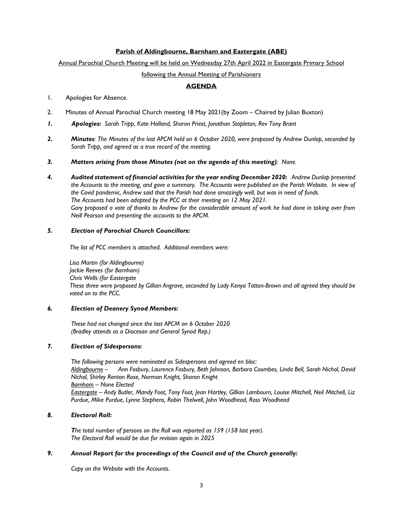## **Parish of Aldingbourne, Barnham and Eastergate (ABE)**

# Annual Parochial Church Meeting will be held on Wednesday 27th April 2022 in Eastergate Primary School

## following the Annual Meeting of Parishioners

# **AGENDA**

## 1. Apologies for Absence.

- 2. Minutes of Annual Parochial Church meeting 18 May 2021(by Zoom Chaired by Julian Buxton)
- *1. Apologies: Sarah Tripp, Kate Holland, Sharon Priest, Jonathan Stapleton, Rev Tony Brant*
- *2. Minutes: The Minutes of the last APCM held on 6 October 2020, were proposed by Andrew Dunlop, seconded by Sarah Tripp, and agreed as a true record of the meeting.*
- *3. Matters arising from those Minutes (not on the agenda of this meeting): None.*
- *4. Audited statement of financial activities for the year ending December 2020: Andrew Dunlop presented the Accounts to the meeting, and gave a summary. The Accounts were published on the Parish Website. In view of the Covid pandemic, Andrew said that the Parish had done amazingly well, but was in need of funds. The Accounts had been adopted by the PCC at their meeting on 12 May 2021. Gary proposed a vote of thanks to Andrew for the considerable amount of work he had done in taking over from Neill Pearson and presenting the accounts to the APCM.*

## *5. Election of Parochial Church Councillors:*

*The list of PCC members is attached. Additional members were:*

*Lisa Martin (for Aldingbourne) Jackie Reeves (for Barnham) Chris Wells (for Eastergate These three were proposed by Gillian Angrave, seconded by Lady Kenya Tatton-Brown and all agreed they should be voted on to the PCC.*

## *6. Election of Deanery Synod Members:*

*These had not changed since the last APCM on 6 October 2020 (Bradley attends as a Diocesan and General Synod Rep.)*

## *7. Election of Sidespersons:*

*The following persons were nominated as Sidespersons and agreed en bloc: Aldingbourne – Ann Fosbury, Laurence Fosbury, Beth Johnson, Barbara Coombes, Linda Bell, Sarah Nichol, David Nichol, Shirley Renton Rose, Norman Knight, Sharon Knight Barnham – None Elected Eastergate – Andy Butler, Mandy Foot, Tony Foot, Jean Hartley, Gillian Lambourn, Louise Mitchell, Neil Mitchell, Liz Purdue, Mike Purdue, Lynne Stephens, Robin Thelwell, John Woodhead, Ross Woodhead*

## *8. Electoral Roll:*

*The total number of persons on the Roll was reported as 159 (158 last year). The Electoral Roll would be due for revision again in 2025* 

## *9. Annual Report for the proceedings of the Council and of the Church generally:*

*Copy on the Website with the Accounts.*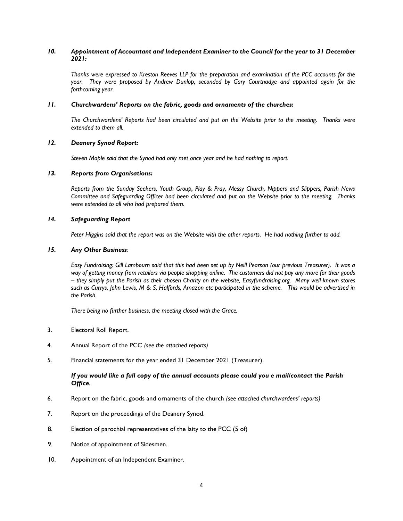### *10. Appointment of Accountant and Independent Examiner to the Council for the year to 31 December 2021:*

*Thanks were expressed to Kreston Reeves LLP for the preparation and examination of the PCC accounts for the year. They were proposed by Andrew Dunlop, seconded by Gary Courtnadge and appointed again for the forthcoming year.* 

#### *11. Churchwardens' Reports on the fabric, goods and ornaments of the churches:*

*The Churchwardens' Reports had been circulated and put on the Website prior to the meeting. Thanks were extended to them all.* 

#### *12. Deanery Synod Report:*

*Steven Maple said that the Synod had only met once year and he had nothing to report.*

#### *13. Reports from Organisations:*

*Reports from the Sunday Seekers, Youth Group, Play & Pray, Messy Church, Nippers and Slippers, Parish News Committee and Safeguarding Officer had been circulated and put on the Website prior to the meeting. Thanks were extended to all who had prepared them.*

## *14. Safeguarding Report*

*Peter Higgins said that the report was on the Website with the other reports. He had nothing further to add.*

# *15. Any Other Business:*

*Easy Fundraising: Gill Lambourn said that this had been set up by Neill Pearson (our previous Treasurer). It was a way of getting money from retailers via people shopping online. The customers did not pay any more for their goods – they simply put the Parish as their chosen Charity on the website, Easyfundraising.org. Many well-known stores such as Currys, John Lewis, M & S, Halfords, Amazon etc participated in the scheme. This would be advertised in the Parish.*

*There being no further business, the meeting closed with the Grace.*

- 3. Electoral Roll Report.
- 4. Annual Report of the PCC *(see the attached reports)*
- 5. Financial statements for the year ended 31 December 2021 (Treasurer).

#### *If you would like a full copy of the annual accounts please could you e mail/contact the Parish Office.*

- 6. Report on the fabric, goods and ornaments of the church *(see attached churchwardens' reports)*
- 7. Report on the proceedings of the Deanery Synod.
- 8. Election of parochial representatives of the laity to the PCC (5 of)
- 9. Notice of appointment of Sidesmen.
- 10. Appointment of an Independent Examiner.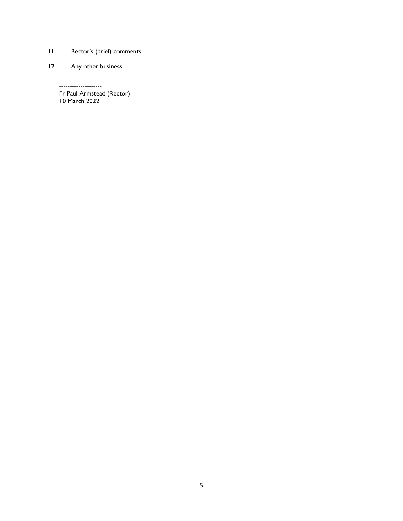- 11. Rector's (brief) comments
- 12 Any other business.

--------------------

Fr Paul Armstead (Rector) 10 March 2022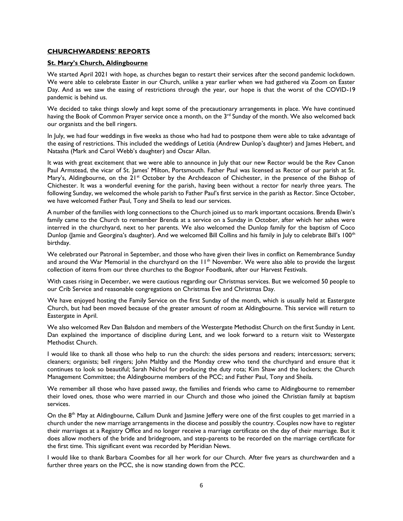### **CHURCHWARDENS' REPORTS**

## **St. Mary's Church, Aldingbourne**

We started April 2021 with hope, as churches began to restart their services after the second pandemic lockdown. We were able to celebrate Easter in our Church, unlike a year earlier when we had gathered via Zoom on Easter Day. And as we saw the easing of restrictions through the year, our hope is that the worst of the COVID-19 pandemic is behind us.

We decided to take things slowly and kept some of the precautionary arrangements in place. We have continued having the Book of Common Prayer service once a month, on the 3<sup>rd</sup> Sunday of the month. We also welcomed back our organists and the bell ringers.

In July, we had four weddings in five weeks as those who had had to postpone them were able to take advantage of the easing of restrictions. This included the weddings of Letitia (Andrew Dunlop's daughter) and James Hebert, and Natasha (Mark and Carol Webb's daughter) and Oscar Allan.

It was with great excitement that we were able to announce in July that our new Rector would be the Rev Canon Paul Armstead, the vicar of St. James' Milton, Portsmouth. Father Paul was licensed as Rector of our parish at St. Mary's, Aldingbourne, on the 21<sup>st</sup> October by the Archdeacon of Chichester, in the presence of the Bishop of Chichester. It was a wonderful evening for the parish, having been without a rector for nearly three years. The following Sunday, we welcomed the whole parish to Father Paul's first service in the parish as Rector. Since October, we have welcomed Father Paul, Tony and Sheila to lead our services.

A number of the families with long connections to the Church joined us to mark important occasions. Brenda Elwin's family came to the Church to remember Brenda at a service on a Sunday in October, after which her ashes were interred in the churchyard, next to her parents. We also welcomed the Dunlop family for the baptism of Coco Dunlop (Jamie and Georgina's daughter). And we welcomed Bill Collins and his family in July to celebrate Bill's 100<sup>th</sup> birthday.

We celebrated our Patronal in September, and those who have given their lives in conflict on Remembrance Sunday and around the War Memorial in the churchyard on the 11<sup>th</sup> November. We were also able to provide the largest collection of items from our three churches to the Bognor Foodbank, after our Harvest Festivals.

With cases rising in December, we were cautious regarding our Christmas services. But we welcomed 50 people to our Crib Service and reasonable congregations on Christmas Eve and Christmas Day.

We have enjoyed hosting the Family Service on the first Sunday of the month, which is usually held at Eastergate Church, but had been moved because of the greater amount of room at Aldingbourne. This service will return to Eastergate in April.

We also welcomed Rev Dan Balsdon and members of the Westergate Methodist Church on the first Sunday in Lent. Dan explained the importance of discipline during Lent, and we look forward to a return visit to Westergate Methodist Church.

I would like to thank all those who help to run the church: the sides persons and readers; intercessors; servers; cleaners; organists; bell ringers; John Maltby and the Monday crew who tend the churchyard and ensure that it continues to look so beautiful; Sarah Nichol for producing the duty rota; Kim Shaw and the lockers; the Church Management Committee; the Aldingbourne members of the PCC; and Father Paul, Tony and Sheila.

We remember all those who have passed away, the families and friends who came to Aldingbourne to remember their loved ones, those who were married in our Church and those who joined the Christian family at baptism services.

On the  $8<sup>th</sup>$  May at Aldingbourne, Callum Dunk and Jasmine Jeffery were one of the first couples to get married in a church under the new marriage arrangements in the diocese and possibly the country. Couples now have to register their marriages at a Registry Office and no longer receive a marriage certificate on the day of their marriage. But it does allow mothers of the bride and bridegroom, and step-parents to be recorded on the marriage certificate for the first time. This significant event was recorded by Meridian News.

I would like to thank Barbara Coombes for all her work for our Church. After five years as churchwarden and a further three years on the PCC, she is now standing down from the PCC.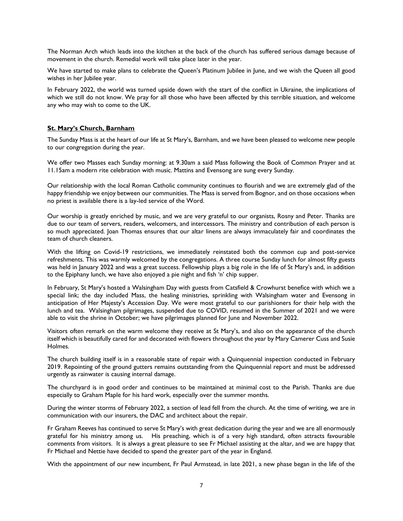The Norman Arch which leads into the kitchen at the back of the church has suffered serious damage because of movement in the church. Remedial work will take place later in the year.

We have started to make plans to celebrate the Queen's Platinum Jubilee in June, and we wish the Queen all good wishes in her Jubilee year.

In February 2022, the world was turned upside down with the start of the conflict in Ukraine, the implications of which we still do not know. We pray for all those who have been affected by this terrible situation, and welcome any who may wish to come to the UK.

# **St. Mary's Church, Barnham**

The Sunday Mass is at the heart of our life at St Mary's, Barnham, and we have been pleased to welcome new people to our congregation during the year.

We offer two Masses each Sunday morning: at 9.30am a said Mass following the Book of Common Prayer and at 11.15am a modern rite celebration with music. Mattins and Evensong are sung every Sunday.

Our relationship with the local Roman Catholic community continues to flourish and we are extremely glad of the happy friendship we enjoy between our communities. The Mass is served from Bognor, and on those occasions when no priest is available there is a lay-led service of the Word.

Our worship is greatly enriched by music, and we are very grateful to our organists, Rosny and Peter. Thanks are due to our team of servers, readers, welcomers, and intercessors. The ministry and contribution of each person is so much appreciated. Joan Thomas ensures that our altar linens are always immaculately fair and coordinates the team of church cleaners.

With the lifting on Covid-19 restrictions, we immediately reinstated both the common cup and post-service refreshments. This was warmly welcomed by the congregations. A three course Sunday lunch for almost fifty guests was held in January 2022 and was a great success. Fellowship plays a big role in the life of St Mary's and, in addition to the Epiphany lunch, we have also enjoyed a pie night and fish 'n' chip supper.

In February, St Mary's hosted a Walsingham Day with guests from Catsfield & Crowhurst benefice with which we a special link; the day included Mass, the healing ministries, sprinkling with Walsingham water and Evensong in anticipation of Her Majesty's Accession Day. We were most grateful to our parishioners for their help with the lunch and tea. Walsingham pilgrimages, suspended due to COVID, resumed in the Summer of 2021 and we were able to visit the shrine in October; we have pilgrimages planned for June and November 2022.

Visitors often remark on the warm welcome they receive at St Mary's, and also on the appearance of the church itself which is beautifully cared for and decorated with flowers throughout the year by Mary Camerer Cuss and Susie Holmes.

The church building itself is in a reasonable state of repair with a Quinquennial inspection conducted in February 2019. Repointing of the ground gutters remains outstanding from the Quinquennial report and must be addressed urgently as rainwater is causing internal damage.

The churchyard is in good order and continues to be maintained at minimal cost to the Parish. Thanks are due especially to Graham Maple for his hard work, especially over the summer months.

During the winter storms of February 2022, a section of lead fell from the church. At the time of writing, we are in communication with our insurers, the DAC and architect about the repair.

Fr Graham Reeves has continued to serve St Mary's with great dedication during the year and we are all enormously grateful for his ministry among us. His preaching, which is of a very high standard, often attracts favourable comments from visitors. It is always a great pleasure to see Fr Michael assisting at the altar, and we are happy that Fr Michael and Nettie have decided to spend the greater part of the year in England.

With the appointment of our new incumbent, Fr Paul Armstead, in late 2021, a new phase began in the life of the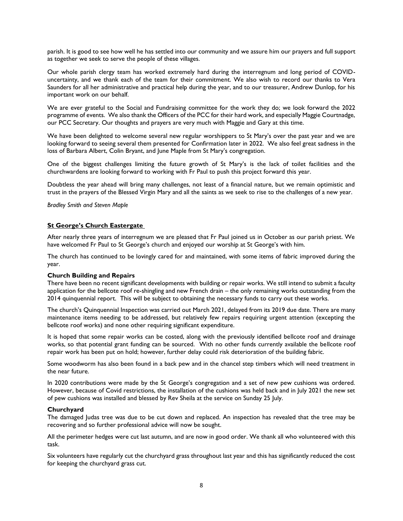parish. It is good to see how well he has settled into our community and we assure him our prayers and full support as together we seek to serve the people of these villages.

Our whole parish clergy team has worked extremely hard during the interregnum and long period of COVIDuncertainty, and we thank each of the team for their commitment. We also wish to record our thanks to Vera Saunders for all her administrative and practical help during the year, and to our treasurer, Andrew Dunlop, for his important work on our behalf.

We are ever grateful to the Social and Fundraising committee for the work they do; we look forward the 2022 programme of events. We also thank the Officers of the PCC for their hard work, and especially Maggie Courtnadge, our PCC Secretary. Our thoughts and prayers are very much with Maggie and Gary at this time.

We have been delighted to welcome several new regular worshippers to St Mary's over the past year and we are looking forward to seeing several them presented for Confirmation later in 2022. We also feel great sadness in the loss of Barbara Albert, Colin Bryant, and June Maple from St Mary's congregation.

One of the biggest challenges limiting the future growth of St Mary's is the lack of toilet facilities and the churchwardens are looking forward to working with Fr Paul to push this project forward this year.

Doubtless the year ahead will bring many challenges, not least of a financial nature, but we remain optimistic and trust in the prayers of the Blessed Virgin Mary and all the saints as we seek to rise to the challenges of a new year.

*Bradley Smith and Steven Maple*

#### **St George's Church Eastergate**

After nearly three years of interregnum we are pleased that Fr Paul joined us in October as our parish priest. We have welcomed Fr Paul to St George's church and enjoyed our worship at St George's with him.

The church has continued to be lovingly cared for and maintained, with some items of fabric improved during the year.

#### **Church Building and Repairs**

There have been no recent significant developments with building or repair works. We still intend to submit a faculty application for the bellcote roof re-shingling and new French drain – the only remaining works outstanding from the 2014 quinquennial report. This will be subject to obtaining the necessary funds to carry out these works.

The church's Quinquennial Inspection was carried out March 2021, delayed from its 2019 due date. There are many maintenance items needing to be addressed, but relatively few repairs requiring urgent attention (excepting the bellcote roof works) and none other requiring significant expenditure.

It is hoped that some repair works can be costed, along with the previously identified bellcote roof and drainage works, so that potential grant funding can be sourced. With no other funds currently available the bellcote roof repair work has been put on hold; however, further delay could risk deterioration of the building fabric.

Some woodworm has also been found in a back pew and in the chancel step timbers which will need treatment in the near future.

In 2020 contributions were made by the St George's congregation and a set of new pew cushions was ordered. However, because of Covid restrictions, the installation of the cushions was held back and in July 2021 the new set of pew cushions was installed and blessed by Rev Sheila at the service on Sunday 25 July.

#### **Churchyard**

The damaged Judas tree was due to be cut down and replaced. An inspection has revealed that the tree may be recovering and so further professional advice will now be sought.

All the perimeter hedges were cut last autumn, and are now in good order. We thank all who volunteered with this task.

Six volunteers have regularly cut the churchyard grass throughout last year and this has significantly reduced the cost for keeping the churchyard grass cut.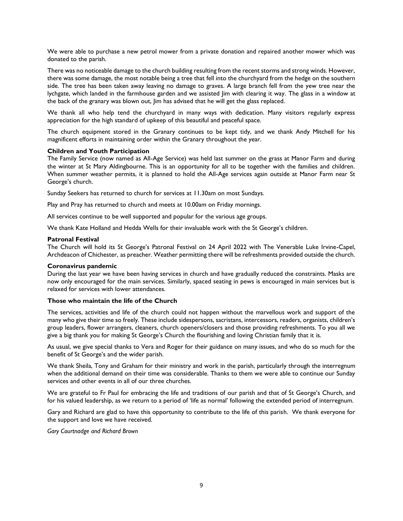We were able to purchase a new petrol mower from a private donation and repaired another mower which was donated to the parish.

There was no noticeable damage to the church building resulting from the recent storms and strong winds. However, there was some damage, the most notable being a tree that fell into the churchyard from the hedge on the southern side. The tree has been taken away leaving no damage to graves. A large branch fell from the yew tree near the lychgate, which landed in the farmhouse garden and we assisted Jim with clearing it way. The glass in a window at the back of the granary was blown out, Jim has advised that he will get the glass replaced.

We thank all who help tend the churchyard in many ways with dedication. Many visitors regularly express appreciation for the high standard of upkeep of this beautiful and peaceful space.

The church equipment stored in the Granary continues to be kept tidy, and we thank Andy Mitchell for his magnificent efforts in maintaining order within the Granary throughout the year.

#### **Children and Youth Participation**

The Family Service (now named as All-Age Service) was held last summer on the grass at Manor Farm and during the winter at St Mary Aldingbourne. This is an opportunity for all to be together with the families and children. When summer weather permits, it is planned to hold the All-Age services again outside at Manor Farm near St George's church.

Sunday Seekers has returned to church for services at 11.30am on most Sundays.

Play and Pray has returned to church and meets at 10.00am on Friday mornings.

All services continue to be well supported and popular for the various age groups.

We thank Kate Holland and Hedda Wells for their invaluable work with the St George's children.

#### **Patronal Festival**

The Church will hold its St George's Patronal Festival on 24 April 2022 with The Venerable Luke Irvine-Capel, Archdeacon of Chichester, as preacher. Weather permitting there will be refreshments provided outside the church.

#### **Coronavirus pandemic**

During the last year we have been having services in church and have gradually reduced the constraints. Masks are now only encouraged for the main services. Similarly, spaced seating in pews is encouraged in main services but is relaxed for services with lower attendances.

#### **Those who maintain the life of the Church**

The services, activities and life of the church could not happen without the marvellous work and support of the many who give their time so freely. These include sidespersons, sacristans, intercessors, readers, organists, children's group leaders, flower arrangers, cleaners, church openers/closers and those providing refreshments. To you all we give a big thank you for making St George's Church the flourishing and loving Christian family that it is.

As usual, we give special thanks to Vera and Roger for their guidance on many issues, and who do so much for the benefit of St George's and the wider parish.

We thank Sheila, Tony and Graham for their ministry and work in the parish, particularly through the interregnum when the additional demand on their time was considerable. Thanks to them we were able to continue our Sunday services and other events in all of our three churches.

We are grateful to Fr Paul for embracing the life and traditions of our parish and that of St George's Church, and for his valued leadership, as we return to a period of 'life as normal' following the extended period of interregnum.

Gary and Richard are glad to have this opportunity to contribute to the life of this parish. We thank everyone for the support and love we have received.

*Gary Courtnadge and Richard Brown*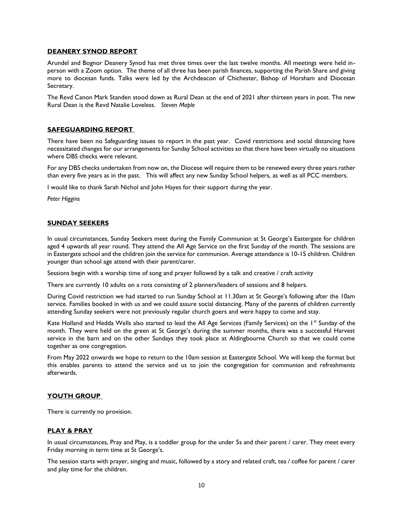#### **DEANERY SYNOD REPORT**

Arundel and Bognor Deanery Synod has met three times over the last twelve months. All meetings were held inperson with a Zoom option. The theme of all three has been parish finances, supporting the Parish Share and giving more to diocesan funds. Talks were led by the Archdeacon of Chichester, Bishop of Horsham and Diocesan Secretary.

The Revd Canon Mark Standen stood down as Rural Dean at the end of 2021 after thirteen years in post. The new Rural Dean is the Revd Natalie Loveless. *Steven Maple*

#### **SAFEGUARDING REPORT**

There have been no Safeguarding issues to report in the past year. Covid restrictions and social distancing have necessitated changes for our arrangements for Sunday School activities so that there have been virtually no situations where DBS checks were relevant.

For any DBS checks undertaken from now on, the Diocese will require them to be renewed every three years rather than every five years as in the past. This will affect any new Sunday School helpers, as well as all PCC members.

I would like to thank Sarah Nichol and John Hayes for their support during the year.

*Peter Higgins*

#### **SUNDAY SEEKERS**

In usual circumstances, Sunday Seekers meet during the Family Communion at St George's Eastergate for children aged 4 upwards all year round. They attend the All Age Service on the first Sunday of the month. The sessions are in Eastergate school and the children join the service for communion. Average attendance is 10-15 children. Children younger than school age attend with their parent/carer.

Sessions begin with a worship time of song and prayer followed by a talk and creative / craft activity

There are currently 10 adults on a rota consisting of 2 planners/leaders of sessions and 8 helpers.

During Covid restriction we had started to run Sunday School at 11.30am at St George's following after the 10am service. Families booked in with us and we could assure social distancing. Many of the parents of children currently attending Sunday seekers were not previously regular church goers and were happy to come and stay.

Kate Holland and Hedda Wells also started to lead the All Age Services (Family Services) on the 1<sup>st</sup> Sunday of the month. They were held on the green at St George's during the summer months, there was a successful Harvest service in the barn and on the other Sundays they took place at Aldingbourne Church so that we could come together as one congregation.

From May 2022 onwards we hope to return to the 10am session at Eastergate School. We will keep the format but this enables parents to attend the service and us to join the congregation for communion and refreshments afterwards.

## **YOUTH GROUP**

There is currently no provision.

#### **PLAY & PRAY**

In usual circumstances, Pray and Play, is a toddler group for the under 5s and their parent / carer. They meet every Friday morning in term time at St George's.

The session starts with prayer, singing and music, followed by a story and related craft, tea / coffee for parent / carer and play time for the children.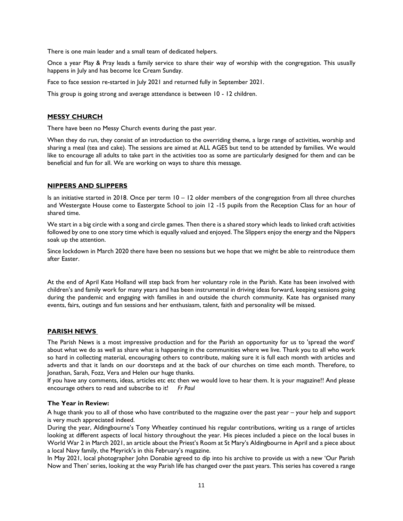There is one main leader and a small team of dedicated helpers.

Once a year Play & Pray leads a family service to share their way of worship with the congregation. This usually happens in July and has become Ice Cream Sunday.

Face to face session re-started in July 2021 and returned fully in September 2021.

This group is going strong and average attendance is between 10 - 12 children.

## **MESSY CHURCH**

There have been no Messy Church events during the past year.

When they do run, they consist of an introduction to the overriding theme, a large range of activities, worship and sharing a meal (tea and cake). The sessions are aimed at ALL AGES but tend to be attended by families. We would like to encourage all adults to take part in the activities too as some are particularly designed for them and can be beneficial and fun for all. We are working on ways to share this message.

# **NIPPERS AND SLIPPERS**

Is an initiative started in 2018. Once per term 10 – 12 older members of the congregation from all three churches and Westergate House come to Eastergate School to join 12 -15 pupils from the Reception Class for an hour of shared time.

We start in a big circle with a song and circle games. Then there is a shared story which leads to linked craft activities followed by one to one story time which is equally valued and enjoyed. The Slippers enjoy the energy and the Nippers soak up the attention.

Since lockdown in March 2020 there have been no sessions but we hope that we might be able to reintroduce them after Easter.

At the end of April Kate Holland will step back from her voluntary role in the Parish. Kate has been involved with children's and family work for many years and has been instrumental in driving ideas forward, keeping sessions going during the pandemic and engaging with families in and outside the church community. Kate has organised many events, fairs, outings and fun sessions and her enthusiasm, talent, faith and personality will be missed.

## **PARISH NEWS**

The Parish News is a most impressive production and for the Parish an opportunity for us to 'spread the word' about what we do as well as share what is happening in the communities where we live. Thank you to all who work so hard in collecting material, encouraging others to contribute, making sure it is full each month with articles and adverts and that it lands on our doorsteps and at the back of our churches on time each month. Therefore, to Jonathan, Sarah, Fozz, Vera and Helen our huge thanks.

If you have any comments, ideas, articles etc etc then we would love to hear them. It is your magazine!! And please encourage others to read and subscribe to it! *Fr Paul*

## **The Year in Review:**

A huge thank you to all of those who have contributed to the magazine over the past year – your help and support is very much appreciated indeed.

During the year, Aldingbourne's Tony Wheatley continued his regular contributions, writing us a range of articles looking at different aspects of local history throughout the year. His pieces included a piece on the local buses in World War 2 in March 2021, an article about the Priest's Room at St Mary's Aldingbourne in April and a piece about a local Navy family, the Meyrick's in this February's magazine.

In May 2021, local photographer John Donabie agreed to dip into his archive to provide us with a new 'Our Parish Now and Then' series, looking at the way Parish life has changed over the past years. This series has covered a range